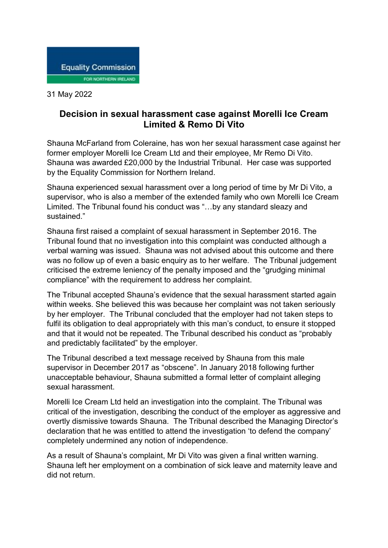

31 May 2022

## **Decision in sexual harassment case against Morelli Ice Cream Limited & Remo Di Vito**

Shauna McFarland from Coleraine, has won her sexual harassment case against her former employer Morelli Ice Cream Ltd and their employee, Mr Remo Di Vito. Shauna was awarded £20,000 by the Industrial Tribunal. Her case was supported by the Equality Commission for Northern Ireland.

Shauna experienced sexual harassment over a long period of time by Mr Di Vito, a supervisor, who is also a member of the extended family who own Morelli Ice Cream Limited. The Tribunal found his conduct was "…by any standard sleazy and sustained."

Shauna first raised a complaint of sexual harassment in September 2016. The Tribunal found that no investigation into this complaint was conducted although a verbal warning was issued. Shauna was not advised about this outcome and there was no follow up of even a basic enquiry as to her welfare. The Tribunal judgement criticised the extreme leniency of the penalty imposed and the "grudging minimal compliance" with the requirement to address her complaint.

The Tribunal accepted Shauna's evidence that the sexual harassment started again within weeks. She believed this was because her complaint was not taken seriously by her employer. The Tribunal concluded that the employer had not taken steps to fulfil its obligation to deal appropriately with this man's conduct, to ensure it stopped and that it would not be repeated. The Tribunal described his conduct as "probably and predictably facilitated" by the employer.

The Tribunal described a text message received by Shauna from this male supervisor in December 2017 as "obscene". In January 2018 following further unacceptable behaviour, Shauna submitted a formal letter of complaint alleging sexual harassment.

Morelli Ice Cream Ltd held an investigation into the complaint. The Tribunal was critical of the investigation, describing the conduct of the employer as aggressive and overtly dismissive towards Shauna. The Tribunal described the Managing Director's declaration that he was entitled to attend the investigation 'to defend the company' completely undermined any notion of independence.

As a result of Shauna's complaint, Mr Di Vito was given a final written warning. Shauna left her employment on a combination of sick leave and maternity leave and did not return.